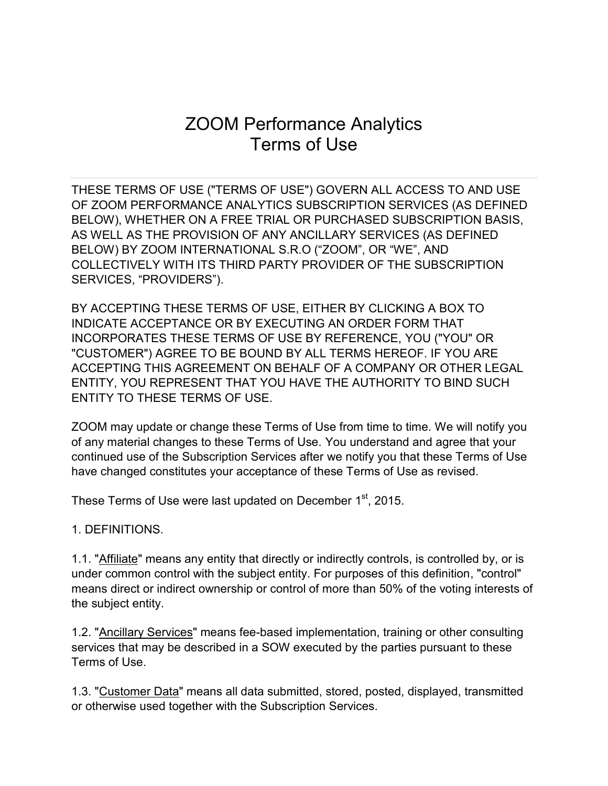# ZOOM Performance Analytics Terms of Use

THESE TERMS OF USE ("TERMS OF USE") GOVERN ALL ACCESS TO AND USE OF ZOOM PERFORMANCE ANALYTICS SUBSCRIPTION SERVICES (AS DEFINED BELOW), WHETHER ON A FREE TRIAL OR PURCHASED SUBSCRIPTION BASIS, AS WELL AS THE PROVISION OF ANY ANCILLARY SERVICES (AS DEFINED BELOW) BY ZOOM INTERNATIONAL S.R.O ("ZOOM", OR "WE", AND COLLECTIVELY WITH ITS THIRD PARTY PROVIDER OF THE SUBSCRIPTION SERVICES, "PROVIDERS").

BY ACCEPTING THESE TERMS OF USE, EITHER BY CLICKING A BOX TO INDICATE ACCEPTANCE OR BY EXECUTING AN ORDER FORM THAT INCORPORATES THESE TERMS OF USE BY REFERENCE, YOU ("YOU" OR "CUSTOMER") AGREE TO BE BOUND BY ALL TERMS HEREOF. IF YOU ARE ACCEPTING THIS AGREEMENT ON BEHALF OF A COMPANY OR OTHER LEGAL ENTITY, YOU REPRESENT THAT YOU HAVE THE AUTHORITY TO BIND SUCH ENTITY TO THESE TERMS OF USE.

ZOOM may update or change these Terms of Use from time to time. We will notify you of any material changes to these Terms of Use. You understand and agree that your continued use of the Subscription Services after we notify you that these Terms of Use have changed constitutes your acceptance of these Terms of Use as revised.

These Terms of Use were last updated on December 1<sup>st</sup>, 2015.

1. DEFINITIONS.

1.1. "Affiliate" means any entity that directly or indirectly controls, is controlled by, or is under common control with the subject entity. For purposes of this definition, "control" means direct or indirect ownership or control of more than 50% of the voting interests of the subject entity.

1.2. "Ancillary Services" means fee-based implementation, training or other consulting services that may be described in a SOW executed by the parties pursuant to these Terms of Use.

1.3. "Customer Data" means all data submitted, stored, posted, displayed, transmitted or otherwise used together with the Subscription Services.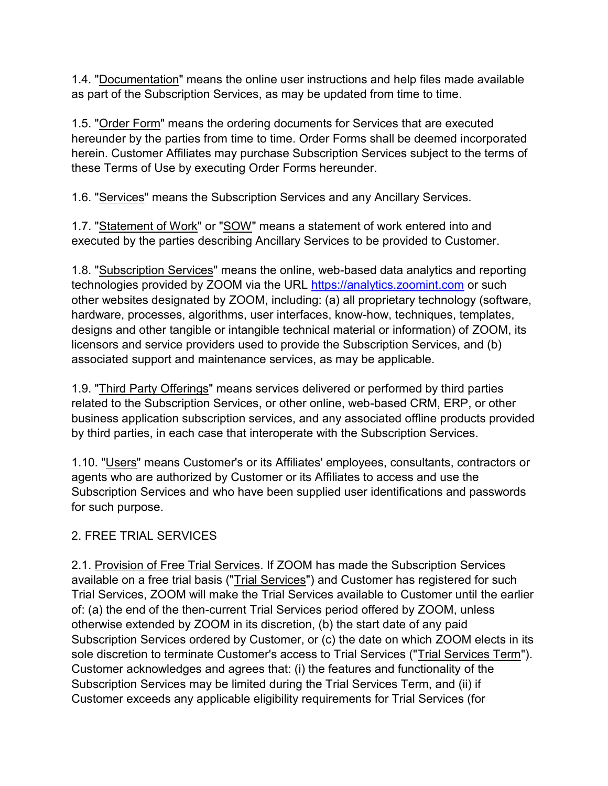1.4. "Documentation" means the online user instructions and help files made available as part of the Subscription Services, as may be updated from time to time.

1.5. "Order Form" means the ordering documents for Services that are executed hereunder by the parties from time to time. Order Forms shall be deemed incorporated herein. Customer Affiliates may purchase Subscription Services subject to the terms of these Terms of Use by executing Order Forms hereunder.

1.6. "Services" means the Subscription Services and any Ancillary Services.

1.7. "Statement of Work" or "SOW" means a statement of work entered into and executed by the parties describing Ancillary Services to be provided to Customer.

1.8. "Subscription Services" means the online, web-based data analytics and reporting technologies provided by ZOOM via the URL [https://analytics.zoomint.com](https://analytics.zoomint.com/) or such other websites designated by ZOOM, including: (a) all proprietary technology (software, hardware, processes, algorithms, user interfaces, know-how, techniques, templates, designs and other tangible or intangible technical material or information) of ZOOM, its licensors and service providers used to provide the Subscription Services, and (b) associated support and maintenance services, as may be applicable.

1.9. "Third Party Offerings" means services delivered or performed by third parties related to the Subscription Services, or other online, web-based CRM, ERP, or other business application subscription services, and any associated offline products provided by third parties, in each case that interoperate with the Subscription Services.

1.10. "Users" means Customer's or its Affiliates' employees, consultants, contractors or agents who are authorized by Customer or its Affiliates to access and use the Subscription Services and who have been supplied user identifications and passwords for such purpose.

# 2. FREE TRIAL SERVICES

2.1. Provision of Free Trial Services. If ZOOM has made the Subscription Services available on a free trial basis ("Trial Services") and Customer has registered for such Trial Services, ZOOM will make the Trial Services available to Customer until the earlier of: (a) the end of the then-current Trial Services period offered by ZOOM, unless otherwise extended by ZOOM in its discretion, (b) the start date of any paid Subscription Services ordered by Customer, or (c) the date on which ZOOM elects in its sole discretion to terminate Customer's access to Trial Services ("Trial Services Term"). Customer acknowledges and agrees that: (i) the features and functionality of the Subscription Services may be limited during the Trial Services Term, and (ii) if Customer exceeds any applicable eligibility requirements for Trial Services (for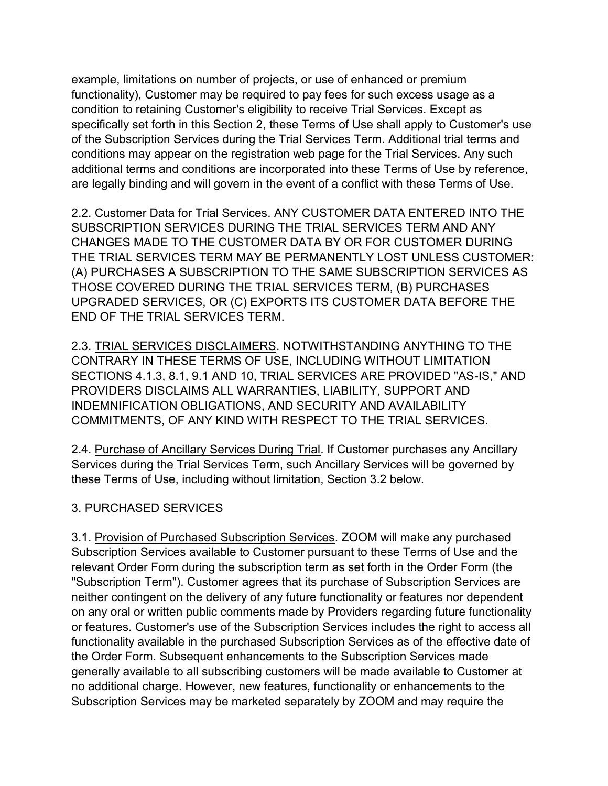example, limitations on number of projects, or use of enhanced or premium functionality), Customer may be required to pay fees for such excess usage as a condition to retaining Customer's eligibility to receive Trial Services. Except as specifically set forth in this Section 2, these Terms of Use shall apply to Customer's use of the Subscription Services during the Trial Services Term. Additional trial terms and conditions may appear on the registration web page for the Trial Services. Any such additional terms and conditions are incorporated into these Terms of Use by reference, are legally binding and will govern in the event of a conflict with these Terms of Use.

2.2. Customer Data for Trial Services. ANY CUSTOMER DATA ENTERED INTO THE SUBSCRIPTION SERVICES DURING THE TRIAL SERVICES TERM AND ANY CHANGES MADE TO THE CUSTOMER DATA BY OR FOR CUSTOMER DURING THE TRIAL SERVICES TERM MAY BE PERMANENTLY LOST UNLESS CUSTOMER: (A) PURCHASES A SUBSCRIPTION TO THE SAME SUBSCRIPTION SERVICES AS THOSE COVERED DURING THE TRIAL SERVICES TERM, (B) PURCHASES UPGRADED SERVICES, OR (C) EXPORTS ITS CUSTOMER DATA BEFORE THE END OF THE TRIAL SERVICES TERM.

2.3. TRIAL SERVICES DISCLAIMERS. NOTWITHSTANDING ANYTHING TO THE CONTRARY IN THESE TERMS OF USE, INCLUDING WITHOUT LIMITATION SECTIONS 4.1.3, 8.1, 9.1 AND 10, TRIAL SERVICES ARE PROVIDED "AS-IS," AND PROVIDERS DISCLAIMS ALL WARRANTIES, LIABILITY, SUPPORT AND INDEMNIFICATION OBLIGATIONS, AND SECURITY AND AVAILABILITY COMMITMENTS, OF ANY KIND WITH RESPECT TO THE TRIAL SERVICES.

2.4. Purchase of Ancillary Services During Trial. If Customer purchases any Ancillary Services during the Trial Services Term, such Ancillary Services will be governed by these Terms of Use, including without limitation, Section 3.2 below.

## 3. PURCHASED SERVICES

3.1. Provision of Purchased Subscription Services. ZOOM will make any purchased Subscription Services available to Customer pursuant to these Terms of Use and the relevant Order Form during the subscription term as set forth in the Order Form (the "Subscription Term"). Customer agrees that its purchase of Subscription Services are neither contingent on the delivery of any future functionality or features nor dependent on any oral or written public comments made by Providers regarding future functionality or features. Customer's use of the Subscription Services includes the right to access all functionality available in the purchased Subscription Services as of the effective date of the Order Form. Subsequent enhancements to the Subscription Services made generally available to all subscribing customers will be made available to Customer at no additional charge. However, new features, functionality or enhancements to the Subscription Services may be marketed separately by ZOOM and may require the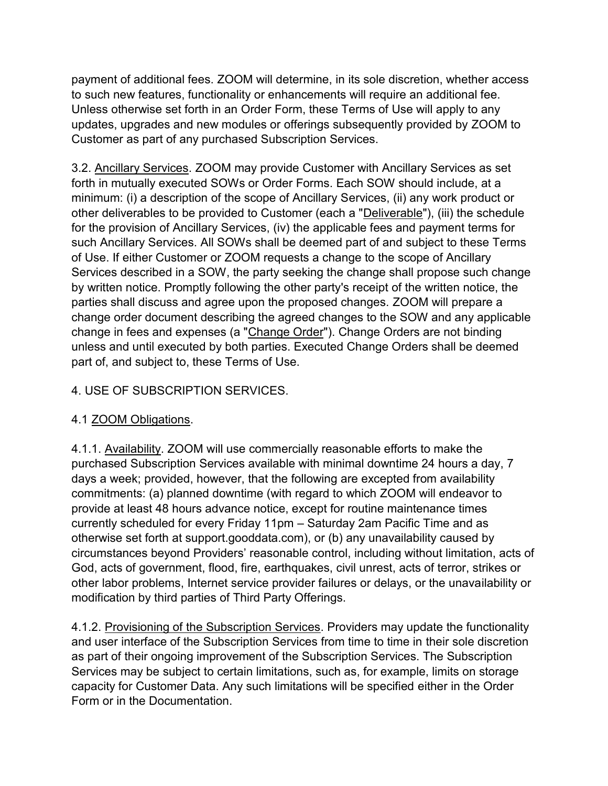payment of additional fees. ZOOM will determine, in its sole discretion, whether access to such new features, functionality or enhancements will require an additional fee. Unless otherwise set forth in an Order Form, these Terms of Use will apply to any updates, upgrades and new modules or offerings subsequently provided by ZOOM to Customer as part of any purchased Subscription Services.

3.2. Ancillary Services. ZOOM may provide Customer with Ancillary Services as set forth in mutually executed SOWs or Order Forms. Each SOW should include, at a minimum: (i) a description of the scope of Ancillary Services, (ii) any work product or other deliverables to be provided to Customer (each a "Deliverable"), (iii) the schedule for the provision of Ancillary Services, (iv) the applicable fees and payment terms for such Ancillary Services. All SOWs shall be deemed part of and subject to these Terms of Use. If either Customer or ZOOM requests a change to the scope of Ancillary Services described in a SOW, the party seeking the change shall propose such change by written notice. Promptly following the other party's receipt of the written notice, the parties shall discuss and agree upon the proposed changes. ZOOM will prepare a change order document describing the agreed changes to the SOW and any applicable change in fees and expenses (a "Change Order"). Change Orders are not binding unless and until executed by both parties. Executed Change Orders shall be deemed part of, and subject to, these Terms of Use.

## 4. USE OF SUBSCRIPTION SERVICES.

## 4.1 ZOOM Obligations.

4.1.1. Availability. ZOOM will use commercially reasonable efforts to make the purchased Subscription Services available with minimal downtime 24 hours a day, 7 days a week; provided, however, that the following are excepted from availability commitments: (a) planned downtime (with regard to which ZOOM will endeavor to provide at least 48 hours advance notice, except for routine maintenance times currently scheduled for every Friday 11pm – Saturday 2am Pacific Time and as otherwise set forth at support.gooddata.com), or (b) any unavailability caused by circumstances beyond Providers' reasonable control, including without limitation, acts of God, acts of government, flood, fire, earthquakes, civil unrest, acts of terror, strikes or other labor problems, Internet service provider failures or delays, or the unavailability or modification by third parties of Third Party Offerings.

4.1.2. Provisioning of the Subscription Services. Providers may update the functionality and user interface of the Subscription Services from time to time in their sole discretion as part of their ongoing improvement of the Subscription Services. The Subscription Services may be subject to certain limitations, such as, for example, limits on storage capacity for Customer Data. Any such limitations will be specified either in the Order Form or in the Documentation.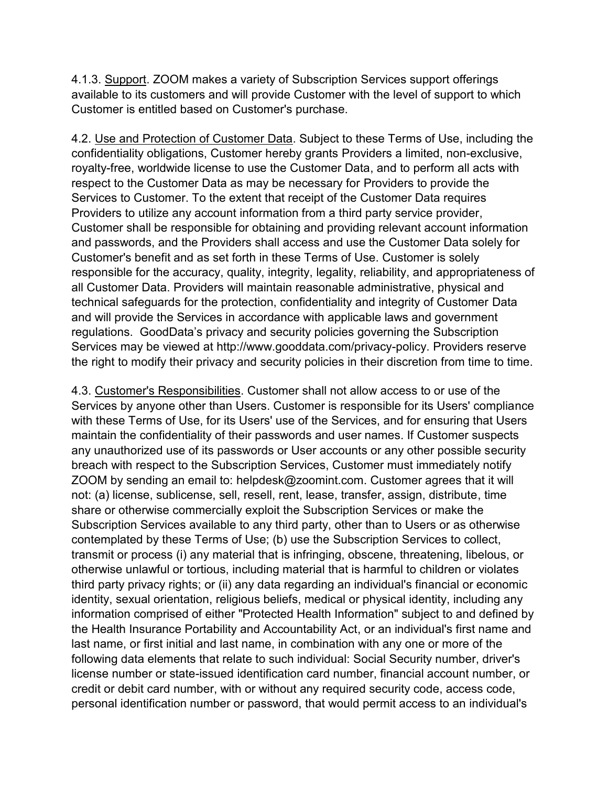4.1.3. Support. ZOOM makes a variety of Subscription Services support offerings available to its customers and will provide Customer with the level of support to which Customer is entitled based on Customer's purchase.

4.2. Use and Protection of Customer Data. Subject to these Terms of Use, including the confidentiality obligations, Customer hereby grants Providers a limited, non-exclusive, royalty-free, worldwide license to use the Customer Data, and to perform all acts with respect to the Customer Data as may be necessary for Providers to provide the Services to Customer. To the extent that receipt of the Customer Data requires Providers to utilize any account information from a third party service provider, Customer shall be responsible for obtaining and providing relevant account information and passwords, and the Providers shall access and use the Customer Data solely for Customer's benefit and as set forth in these Terms of Use. Customer is solely responsible for the accuracy, quality, integrity, legality, reliability, and appropriateness of all Customer Data. Providers will maintain reasonable administrative, physical and technical safeguards for the protection, confidentiality and integrity of Customer Data and will provide the Services in accordance with applicable laws and government regulations. GoodData's privacy and security policies governing the Subscription Services may be viewed at http://www.gooddata.com/privacy-policy. Providers reserve the right to modify their privacy and security policies in their discretion from time to time.

4.3. Customer's Responsibilities. Customer shall not allow access to or use of the Services by anyone other than Users. Customer is responsible for its Users' compliance with these Terms of Use, for its Users' use of the Services, and for ensuring that Users maintain the confidentiality of their passwords and user names. If Customer suspects any unauthorized use of its passwords or User accounts or any other possible security breach with respect to the Subscription Services, Customer must immediately notify ZOOM by sending an email to: helpdesk@zoomint.com. Customer agrees that it will not: (a) license, sublicense, sell, resell, rent, lease, transfer, assign, distribute, time share or otherwise commercially exploit the Subscription Services or make the Subscription Services available to any third party, other than to Users or as otherwise contemplated by these Terms of Use; (b) use the Subscription Services to collect, transmit or process (i) any material that is infringing, obscene, threatening, libelous, or otherwise unlawful or tortious, including material that is harmful to children or violates third party privacy rights; or (ii) any data regarding an individual's financial or economic identity, sexual orientation, religious beliefs, medical or physical identity, including any information comprised of either "Protected Health Information" subject to and defined by the Health Insurance Portability and Accountability Act, or an individual's first name and last name, or first initial and last name, in combination with any one or more of the following data elements that relate to such individual: Social Security number, driver's license number or state-issued identification card number, financial account number, or credit or debit card number, with or without any required security code, access code, personal identification number or password, that would permit access to an individual's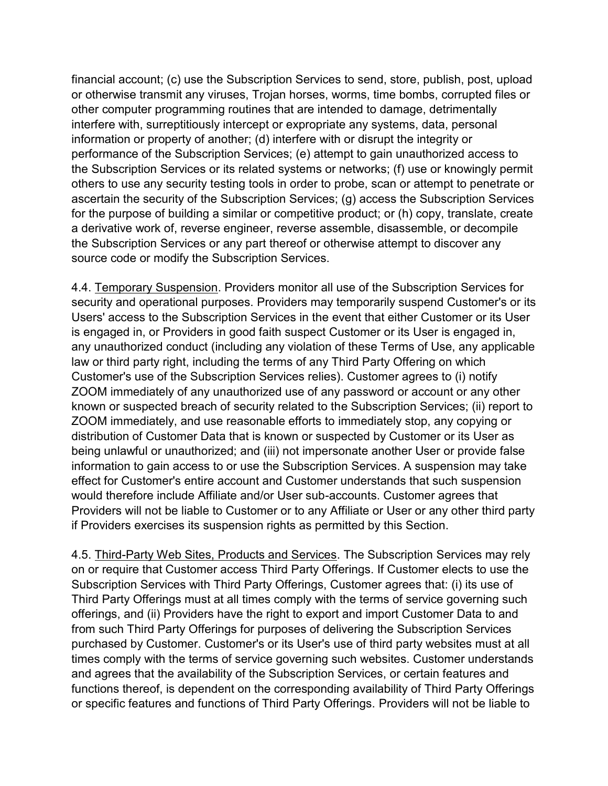financial account; (c) use the Subscription Services to send, store, publish, post, upload or otherwise transmit any viruses, Trojan horses, worms, time bombs, corrupted files or other computer programming routines that are intended to damage, detrimentally interfere with, surreptitiously intercept or expropriate any systems, data, personal information or property of another; (d) interfere with or disrupt the integrity or performance of the Subscription Services; (e) attempt to gain unauthorized access to the Subscription Services or its related systems or networks; (f) use or knowingly permit others to use any security testing tools in order to probe, scan or attempt to penetrate or ascertain the security of the Subscription Services; (g) access the Subscription Services for the purpose of building a similar or competitive product; or (h) copy, translate, create a derivative work of, reverse engineer, reverse assemble, disassemble, or decompile the Subscription Services or any part thereof or otherwise attempt to discover any source code or modify the Subscription Services.

4.4. Temporary Suspension. Providers monitor all use of the Subscription Services for security and operational purposes. Providers may temporarily suspend Customer's or its Users' access to the Subscription Services in the event that either Customer or its User is engaged in, or Providers in good faith suspect Customer or its User is engaged in, any unauthorized conduct (including any violation of these Terms of Use, any applicable law or third party right, including the terms of any Third Party Offering on which Customer's use of the Subscription Services relies). Customer agrees to (i) notify ZOOM immediately of any unauthorized use of any password or account or any other known or suspected breach of security related to the Subscription Services; (ii) report to ZOOM immediately, and use reasonable efforts to immediately stop, any copying or distribution of Customer Data that is known or suspected by Customer or its User as being unlawful or unauthorized; and (iii) not impersonate another User or provide false information to gain access to or use the Subscription Services. A suspension may take effect for Customer's entire account and Customer understands that such suspension would therefore include Affiliate and/or User sub-accounts. Customer agrees that Providers will not be liable to Customer or to any Affiliate or User or any other third party if Providers exercises its suspension rights as permitted by this Section.

4.5. Third-Party Web Sites, Products and Services. The Subscription Services may rely on or require that Customer access Third Party Offerings. If Customer elects to use the Subscription Services with Third Party Offerings, Customer agrees that: (i) its use of Third Party Offerings must at all times comply with the terms of service governing such offerings, and (ii) Providers have the right to export and import Customer Data to and from such Third Party Offerings for purposes of delivering the Subscription Services purchased by Customer. Customer's or its User's use of third party websites must at all times comply with the terms of service governing such websites. Customer understands and agrees that the availability of the Subscription Services, or certain features and functions thereof, is dependent on the corresponding availability of Third Party Offerings or specific features and functions of Third Party Offerings. Providers will not be liable to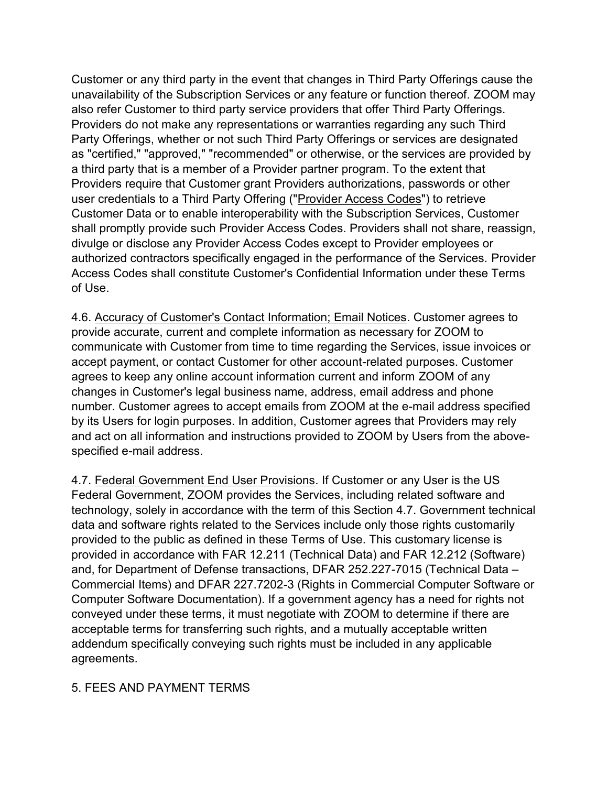Customer or any third party in the event that changes in Third Party Offerings cause the unavailability of the Subscription Services or any feature or function thereof. ZOOM may also refer Customer to third party service providers that offer Third Party Offerings. Providers do not make any representations or warranties regarding any such Third Party Offerings, whether or not such Third Party Offerings or services are designated as "certified," "approved," "recommended" or otherwise, or the services are provided by a third party that is a member of a Provider partner program. To the extent that Providers require that Customer grant Providers authorizations, passwords or other user credentials to a Third Party Offering ("Provider Access Codes") to retrieve Customer Data or to enable interoperability with the Subscription Services, Customer shall promptly provide such Provider Access Codes. Providers shall not share, reassign, divulge or disclose any Provider Access Codes except to Provider employees or authorized contractors specifically engaged in the performance of the Services. Provider Access Codes shall constitute Customer's Confidential Information under these Terms of Use.

4.6. Accuracy of Customer's Contact Information; Email Notices. Customer agrees to provide accurate, current and complete information as necessary for ZOOM to communicate with Customer from time to time regarding the Services, issue invoices or accept payment, or contact Customer for other account-related purposes. Customer agrees to keep any online account information current and inform ZOOM of any changes in Customer's legal business name, address, email address and phone number. Customer agrees to accept emails from ZOOM at the e-mail address specified by its Users for login purposes. In addition, Customer agrees that Providers may rely and act on all information and instructions provided to ZOOM by Users from the abovespecified e-mail address.

4.7. Federal Government End User Provisions. If Customer or any User is the US Federal Government, ZOOM provides the Services, including related software and technology, solely in accordance with the term of this Section 4.7. Government technical data and software rights related to the Services include only those rights customarily provided to the public as defined in these Terms of Use. This customary license is provided in accordance with FAR 12.211 (Technical Data) and FAR 12.212 (Software) and, for Department of Defense transactions, DFAR 252.227-7015 (Technical Data – Commercial Items) and DFAR 227.7202-3 (Rights in Commercial Computer Software or Computer Software Documentation). If a government agency has a need for rights not conveyed under these terms, it must negotiate with ZOOM to determine if there are acceptable terms for transferring such rights, and a mutually acceptable written addendum specifically conveying such rights must be included in any applicable agreements.

#### 5. FEES AND PAYMENT TERMS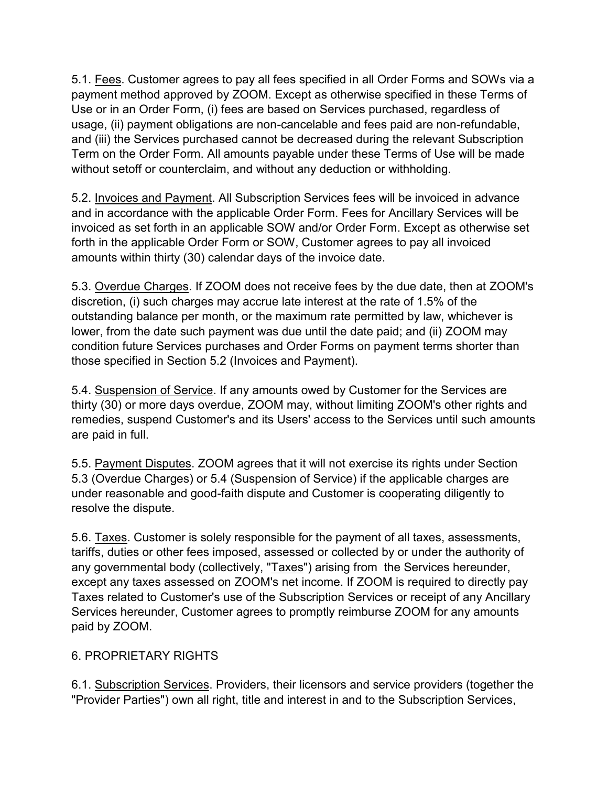5.1. Fees. Customer agrees to pay all fees specified in all Order Forms and SOWs via a payment method approved by ZOOM. Except as otherwise specified in these Terms of Use or in an Order Form, (i) fees are based on Services purchased, regardless of usage, (ii) payment obligations are non-cancelable and fees paid are non-refundable, and (iii) the Services purchased cannot be decreased during the relevant Subscription Term on the Order Form. All amounts payable under these Terms of Use will be made without setoff or counterclaim, and without any deduction or withholding.

5.2. Invoices and Payment. All Subscription Services fees will be invoiced in advance and in accordance with the applicable Order Form. Fees for Ancillary Services will be invoiced as set forth in an applicable SOW and/or Order Form. Except as otherwise set forth in the applicable Order Form or SOW, Customer agrees to pay all invoiced amounts within thirty (30) calendar days of the invoice date.

5.3. Overdue Charges. If ZOOM does not receive fees by the due date, then at ZOOM's discretion, (i) such charges may accrue late interest at the rate of 1.5% of the outstanding balance per month, or the maximum rate permitted by law, whichever is lower, from the date such payment was due until the date paid; and (ii) ZOOM may condition future Services purchases and Order Forms on payment terms shorter than those specified in Section 5.2 (Invoices and Payment).

5.4. Suspension of Service. If any amounts owed by Customer for the Services are thirty (30) or more days overdue, ZOOM may, without limiting ZOOM's other rights and remedies, suspend Customer's and its Users' access to the Services until such amounts are paid in full.

5.5. Payment Disputes. ZOOM agrees that it will not exercise its rights under Section 5.3 (Overdue Charges) or 5.4 (Suspension of Service) if the applicable charges are under reasonable and good-faith dispute and Customer is cooperating diligently to resolve the dispute.

5.6. Taxes. Customer is solely responsible for the payment of all taxes, assessments, tariffs, duties or other fees imposed, assessed or collected by or under the authority of any governmental body (collectively, "Taxes") arising from the Services hereunder, except any taxes assessed on ZOOM's net income. If ZOOM is required to directly pay Taxes related to Customer's use of the Subscription Services or receipt of any Ancillary Services hereunder, Customer agrees to promptly reimburse ZOOM for any amounts paid by ZOOM.

## 6. PROPRIETARY RIGHTS

6.1. Subscription Services. Providers, their licensors and service providers (together the "Provider Parties") own all right, title and interest in and to the Subscription Services,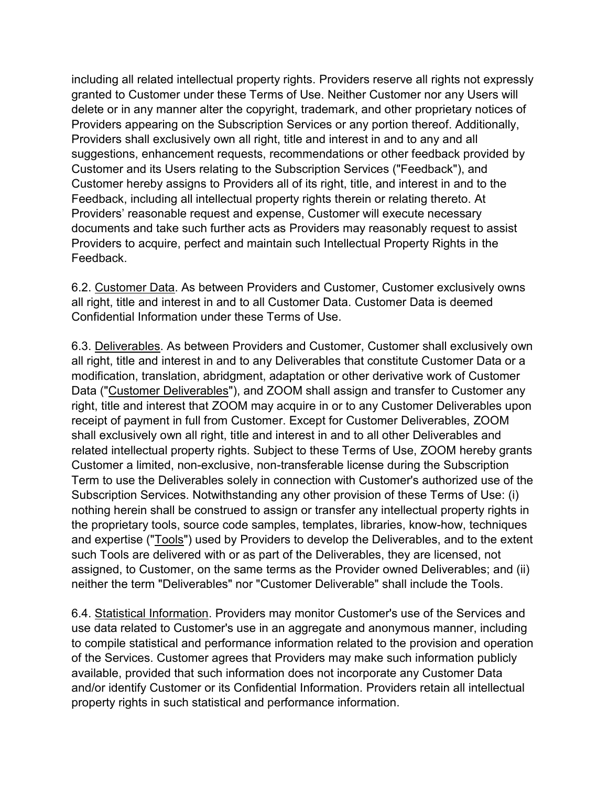including all related intellectual property rights. Providers reserve all rights not expressly granted to Customer under these Terms of Use. Neither Customer nor any Users will delete or in any manner alter the copyright, trademark, and other proprietary notices of Providers appearing on the Subscription Services or any portion thereof. Additionally, Providers shall exclusively own all right, title and interest in and to any and all suggestions, enhancement requests, recommendations or other feedback provided by Customer and its Users relating to the Subscription Services ("Feedback"), and Customer hereby assigns to Providers all of its right, title, and interest in and to the Feedback, including all intellectual property rights therein or relating thereto. At Providers' reasonable request and expense, Customer will execute necessary documents and take such further acts as Providers may reasonably request to assist Providers to acquire, perfect and maintain such Intellectual Property Rights in the Feedback.

6.2. Customer Data. As between Providers and Customer, Customer exclusively owns all right, title and interest in and to all Customer Data. Customer Data is deemed Confidential Information under these Terms of Use.

6.3. Deliverables. As between Providers and Customer, Customer shall exclusively own all right, title and interest in and to any Deliverables that constitute Customer Data or a modification, translation, abridgment, adaptation or other derivative work of Customer Data ("Customer Deliverables"), and ZOOM shall assign and transfer to Customer any right, title and interest that ZOOM may acquire in or to any Customer Deliverables upon receipt of payment in full from Customer. Except for Customer Deliverables, ZOOM shall exclusively own all right, title and interest in and to all other Deliverables and related intellectual property rights. Subject to these Terms of Use, ZOOM hereby grants Customer a limited, non-exclusive, non-transferable license during the Subscription Term to use the Deliverables solely in connection with Customer's authorized use of the Subscription Services. Notwithstanding any other provision of these Terms of Use: (i) nothing herein shall be construed to assign or transfer any intellectual property rights in the proprietary tools, source code samples, templates, libraries, know-how, techniques and expertise ("Tools") used by Providers to develop the Deliverables, and to the extent such Tools are delivered with or as part of the Deliverables, they are licensed, not assigned, to Customer, on the same terms as the Provider owned Deliverables; and (ii) neither the term "Deliverables" nor "Customer Deliverable" shall include the Tools.

6.4. Statistical Information. Providers may monitor Customer's use of the Services and use data related to Customer's use in an aggregate and anonymous manner, including to compile statistical and performance information related to the provision and operation of the Services. Customer agrees that Providers may make such information publicly available, provided that such information does not incorporate any Customer Data and/or identify Customer or its Confidential Information. Providers retain all intellectual property rights in such statistical and performance information.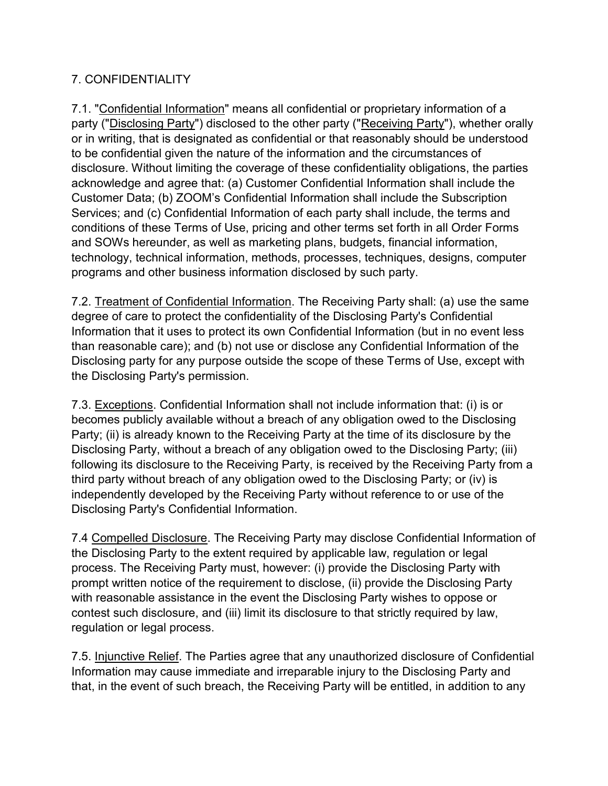## 7. CONFIDENTIALITY

7.1. "Confidential Information" means all confidential or proprietary information of a party ("Disclosing Party") disclosed to the other party ("Receiving Party"), whether orally or in writing, that is designated as confidential or that reasonably should be understood to be confidential given the nature of the information and the circumstances of disclosure. Without limiting the coverage of these confidentiality obligations, the parties acknowledge and agree that: (a) Customer Confidential Information shall include the Customer Data; (b) ZOOM's Confidential Information shall include the Subscription Services; and (c) Confidential Information of each party shall include, the terms and conditions of these Terms of Use, pricing and other terms set forth in all Order Forms and SOWs hereunder, as well as marketing plans, budgets, financial information, technology, technical information, methods, processes, techniques, designs, computer programs and other business information disclosed by such party.

7.2. Treatment of Confidential Information. The Receiving Party shall: (a) use the same degree of care to protect the confidentiality of the Disclosing Party's Confidential Information that it uses to protect its own Confidential Information (but in no event less than reasonable care); and (b) not use or disclose any Confidential Information of the Disclosing party for any purpose outside the scope of these Terms of Use, except with the Disclosing Party's permission.

7.3. Exceptions. Confidential Information shall not include information that: (i) is or becomes publicly available without a breach of any obligation owed to the Disclosing Party; (ii) is already known to the Receiving Party at the time of its disclosure by the Disclosing Party, without a breach of any obligation owed to the Disclosing Party; (iii) following its disclosure to the Receiving Party, is received by the Receiving Party from a third party without breach of any obligation owed to the Disclosing Party; or (iv) is independently developed by the Receiving Party without reference to or use of the Disclosing Party's Confidential Information.

7.4 Compelled Disclosure. The Receiving Party may disclose Confidential Information of the Disclosing Party to the extent required by applicable law, regulation or legal process. The Receiving Party must, however: (i) provide the Disclosing Party with prompt written notice of the requirement to disclose, (ii) provide the Disclosing Party with reasonable assistance in the event the Disclosing Party wishes to oppose or contest such disclosure, and (iii) limit its disclosure to that strictly required by law, regulation or legal process.

7.5. Injunctive Relief. The Parties agree that any unauthorized disclosure of Confidential Information may cause immediate and irreparable injury to the Disclosing Party and that, in the event of such breach, the Receiving Party will be entitled, in addition to any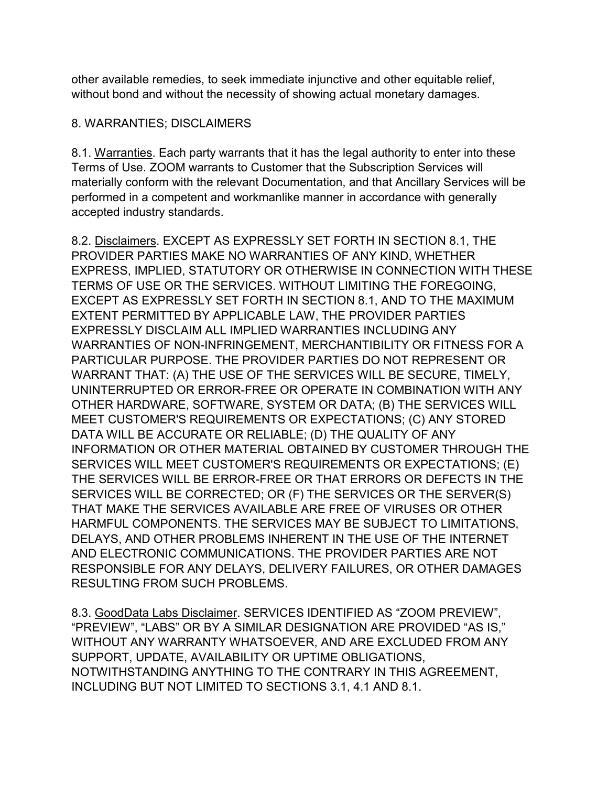other available remedies, to seek immediate injunctive and other equitable relief, without bond and without the necessity of showing actual monetary damages.

#### 8. WARRANTIES; DISCLAIMERS

8.1. Warranties. Each party warrants that it has the legal authority to enter into these Terms of Use. ZOOM warrants to Customer that the Subscription Services will materially conform with the relevant Documentation, and that Ancillary Services will be performed in a competent and workmanlike manner in accordance with generally accepted industry standards.

8.2. Disclaimers. EXCEPT AS EXPRESSLY SET FORTH IN SECTION 8.1, THE PROVIDER PARTIES MAKE NO WARRANTIES OF ANY KIND, WHETHER EXPRESS, IMPLIED, STATUTORY OR OTHERWISE IN CONNECTION WITH THESE TERMS OF USE OR THE SERVICES. WITHOUT LIMITING THE FOREGOING, EXCEPT AS EXPRESSLY SET FORTH IN SECTION 8.1, AND TO THE MAXIMUM EXTENT PERMITTED BY APPLICABLE LAW, THE PROVIDER PARTIES EXPRESSLY DISCLAIM ALL IMPLIED WARRANTIES INCLUDING ANY WARRANTIES OF NON-INFRINGEMENT, MERCHANTIBILITY OR FITNESS FOR A PARTICULAR PURPOSE. THE PROVIDER PARTIES DO NOT REPRESENT OR WARRANT THAT: (A) THE USE OF THE SERVICES WILL BE SECURE, TIMELY, UNINTERRUPTED OR ERROR-FREE OR OPERATE IN COMBINATION WITH ANY OTHER HARDWARE, SOFTWARE, SYSTEM OR DATA; (B) THE SERVICES WILL MEET CUSTOMER'S REQUIREMENTS OR EXPECTATIONS; (C) ANY STORED DATA WILL BE ACCURATE OR RELIABLE; (D) THE QUALITY OF ANY INFORMATION OR OTHER MATERIAL OBTAINED BY CUSTOMER THROUGH THE SERVICES WILL MEET CUSTOMER'S REQUIREMENTS OR EXPECTATIONS; (E) THE SERVICES WILL BE ERROR-FREE OR THAT ERRORS OR DEFECTS IN THE SERVICES WILL BE CORRECTED; OR (F) THE SERVICES OR THE SERVER(S) THAT MAKE THE SERVICES AVAILABLE ARE FREE OF VIRUSES OR OTHER HARMFUL COMPONENTS. THE SERVICES MAY BE SUBJECT TO LIMITATIONS, DELAYS, AND OTHER PROBLEMS INHERENT IN THE USE OF THE INTERNET AND ELECTRONIC COMMUNICATIONS. THE PROVIDER PARTIES ARE NOT RESPONSIBLE FOR ANY DELAYS, DELIVERY FAILURES, OR OTHER DAMAGES RESULTING FROM SUCH PROBLEMS.

8.3. GoodData Labs Disclaimer. SERVICES IDENTIFIED AS "ZOOM PREVIEW", "PREVIEW", "LABS" OR BY A SIMILAR DESIGNATION ARE PROVIDED "AS IS," WITHOUT ANY WARRANTY WHATSOEVER, AND ARE EXCLUDED FROM ANY SUPPORT, UPDATE, AVAILABILITY OR UPTIME OBLIGATIONS, NOTWITHSTANDING ANYTHING TO THE CONTRARY IN THIS AGREEMENT, INCLUDING BUT NOT LIMITED TO SECTIONS 3.1, 4.1 AND 8.1.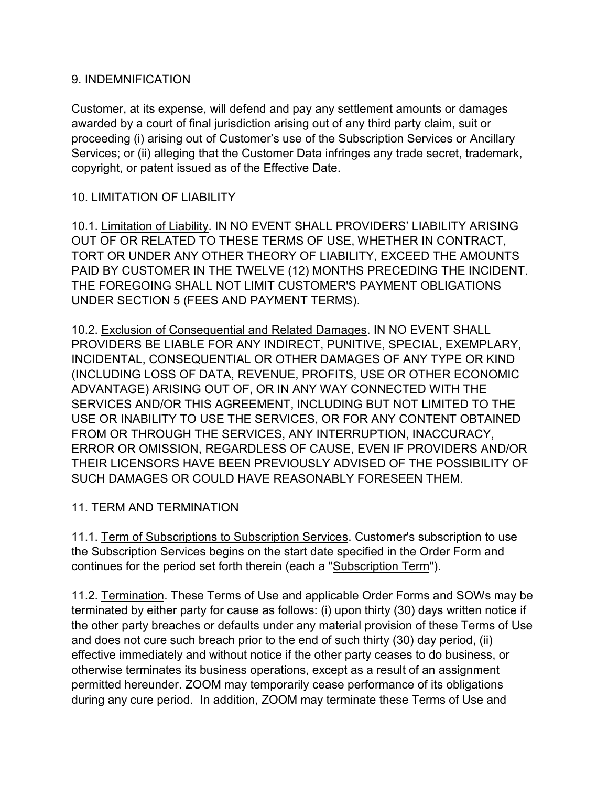#### 9. INDEMNIFICATION

Customer, at its expense, will defend and pay any settlement amounts or damages awarded by a court of final jurisdiction arising out of any third party claim, suit or proceeding (i) arising out of Customer's use of the Subscription Services or Ancillary Services; or (ii) alleging that the Customer Data infringes any trade secret, trademark, copyright, or patent issued as of the Effective Date.

## 10. LIMITATION OF LIABILITY

10.1. Limitation of Liability. IN NO EVENT SHALL PROVIDERS' LIABILITY ARISING OUT OF OR RELATED TO THESE TERMS OF USE, WHETHER IN CONTRACT, TORT OR UNDER ANY OTHER THEORY OF LIABILITY, EXCEED THE AMOUNTS PAID BY CUSTOMER IN THE TWELVE (12) MONTHS PRECEDING THE INCIDENT. THE FOREGOING SHALL NOT LIMIT CUSTOMER'S PAYMENT OBLIGATIONS UNDER SECTION 5 (FEES AND PAYMENT TERMS).

10.2. Exclusion of Consequential and Related Damages. IN NO EVENT SHALL PROVIDERS BE LIABLE FOR ANY INDIRECT, PUNITIVE, SPECIAL, EXEMPLARY, INCIDENTAL, CONSEQUENTIAL OR OTHER DAMAGES OF ANY TYPE OR KIND (INCLUDING LOSS OF DATA, REVENUE, PROFITS, USE OR OTHER ECONOMIC ADVANTAGE) ARISING OUT OF, OR IN ANY WAY CONNECTED WITH THE SERVICES AND/OR THIS AGREEMENT, INCLUDING BUT NOT LIMITED TO THE USE OR INABILITY TO USE THE SERVICES, OR FOR ANY CONTENT OBTAINED FROM OR THROUGH THE SERVICES, ANY INTERRUPTION, INACCURACY, ERROR OR OMISSION, REGARDLESS OF CAUSE, EVEN IF PROVIDERS AND/OR THEIR LICENSORS HAVE BEEN PREVIOUSLY ADVISED OF THE POSSIBILITY OF SUCH DAMAGES OR COULD HAVE REASONABLY FORESEEN THEM.

## 11. TERM AND TERMINATION

11.1. Term of Subscriptions to Subscription Services. Customer's subscription to use the Subscription Services begins on the start date specified in the Order Form and continues for the period set forth therein (each a "Subscription Term").

11.2. Termination. These Terms of Use and applicable Order Forms and SOWs may be terminated by either party for cause as follows: (i) upon thirty (30) days written notice if the other party breaches or defaults under any material provision of these Terms of Use and does not cure such breach prior to the end of such thirty (30) day period, (ii) effective immediately and without notice if the other party ceases to do business, or otherwise terminates its business operations, except as a result of an assignment permitted hereunder. ZOOM may temporarily cease performance of its obligations during any cure period. In addition, ZOOM may terminate these Terms of Use and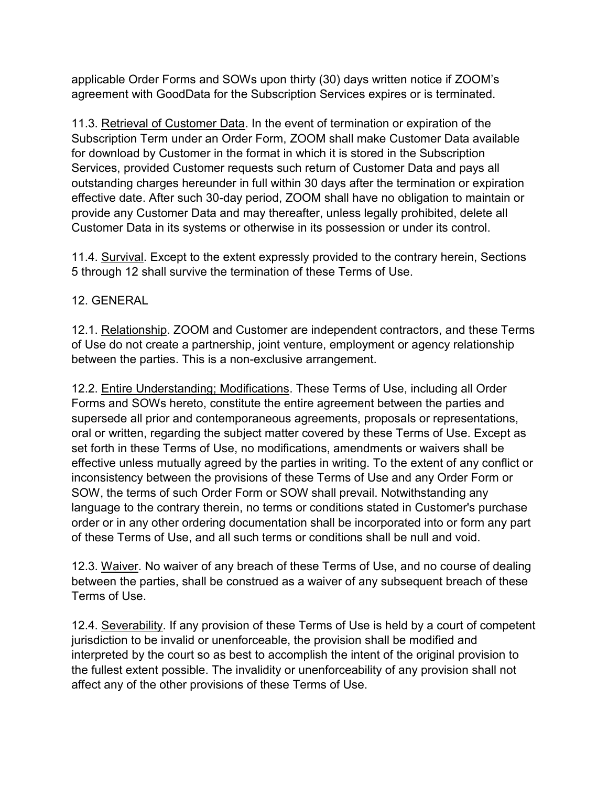applicable Order Forms and SOWs upon thirty (30) days written notice if ZOOM's agreement with GoodData for the Subscription Services expires or is terminated.

11.3. Retrieval of Customer Data. In the event of termination or expiration of the Subscription Term under an Order Form, ZOOM shall make Customer Data available for download by Customer in the format in which it is stored in the Subscription Services, provided Customer requests such return of Customer Data and pays all outstanding charges hereunder in full within 30 days after the termination or expiration effective date. After such 30-day period, ZOOM shall have no obligation to maintain or provide any Customer Data and may thereafter, unless legally prohibited, delete all Customer Data in its systems or otherwise in its possession or under its control.

11.4. Survival. Except to the extent expressly provided to the contrary herein, Sections 5 through 12 shall survive the termination of these Terms of Use.

12. GENERAL

12.1. Relationship. ZOOM and Customer are independent contractors, and these Terms of Use do not create a partnership, joint venture, employment or agency relationship between the parties. This is a non-exclusive arrangement.

12.2. Entire Understanding; Modifications. These Terms of Use, including all Order Forms and SOWs hereto, constitute the entire agreement between the parties and supersede all prior and contemporaneous agreements, proposals or representations, oral or written, regarding the subject matter covered by these Terms of Use. Except as set forth in these Terms of Use, no modifications, amendments or waivers shall be effective unless mutually agreed by the parties in writing. To the extent of any conflict or inconsistency between the provisions of these Terms of Use and any Order Form or SOW, the terms of such Order Form or SOW shall prevail. Notwithstanding any language to the contrary therein, no terms or conditions stated in Customer's purchase order or in any other ordering documentation shall be incorporated into or form any part of these Terms of Use, and all such terms or conditions shall be null and void.

12.3. Waiver. No waiver of any breach of these Terms of Use, and no course of dealing between the parties, shall be construed as a waiver of any subsequent breach of these Terms of Use.

12.4. Severability. If any provision of these Terms of Use is held by a court of competent jurisdiction to be invalid or unenforceable, the provision shall be modified and interpreted by the court so as best to accomplish the intent of the original provision to the fullest extent possible. The invalidity or unenforceability of any provision shall not affect any of the other provisions of these Terms of Use.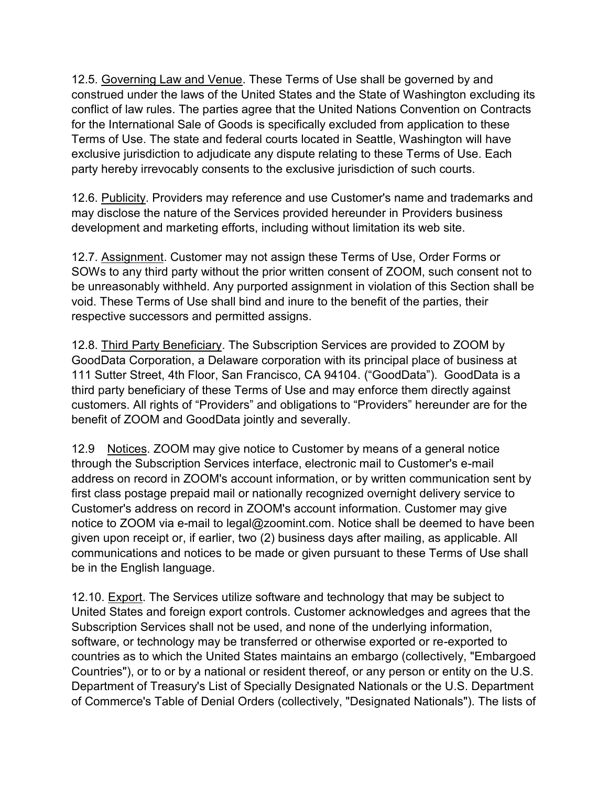12.5. Governing Law and Venue. These Terms of Use shall be governed by and construed under the laws of the United States and the State of Washington excluding its conflict of law rules. The parties agree that the United Nations Convention on Contracts for the International Sale of Goods is specifically excluded from application to these Terms of Use. The state and federal courts located in Seattle, Washington will have exclusive jurisdiction to adjudicate any dispute relating to these Terms of Use. Each party hereby irrevocably consents to the exclusive jurisdiction of such courts.

12.6. Publicity. Providers may reference and use Customer's name and trademarks and may disclose the nature of the Services provided hereunder in Providers business development and marketing efforts, including without limitation its web site.

12.7. Assignment. Customer may not assign these Terms of Use, Order Forms or SOWs to any third party without the prior written consent of ZOOM, such consent not to be unreasonably withheld. Any purported assignment in violation of this Section shall be void. These Terms of Use shall bind and inure to the benefit of the parties, their respective successors and permitted assigns.

12.8. Third Party Beneficiary. The Subscription Services are provided to ZOOM by GoodData Corporation, a Delaware corporation with its principal place of business at 111 Sutter Street, 4th Floor, San Francisco, CA 94104. ("GoodData"). GoodData is a third party beneficiary of these Terms of Use and may enforce them directly against customers. All rights of "Providers" and obligations to "Providers" hereunder are for the benefit of ZOOM and GoodData jointly and severally.

12.9 Notices. ZOOM may give notice to Customer by means of a general notice through the Subscription Services interface, electronic mail to Customer's e-mail address on record in ZOOM's account information, or by written communication sent by first class postage prepaid mail or nationally recognized overnight delivery service to Customer's address on record in ZOOM's account information. Customer may give notice to ZOOM via e-mail to legal@zoomint.com. Notice shall be deemed to have been given upon receipt or, if earlier, two (2) business days after mailing, as applicable. All communications and notices to be made or given pursuant to these Terms of Use shall be in the English language.

12.10. Export. The Services utilize software and technology that may be subject to United States and foreign export controls. Customer acknowledges and agrees that the Subscription Services shall not be used, and none of the underlying information, software, or technology may be transferred or otherwise exported or re-exported to countries as to which the United States maintains an embargo (collectively, "Embargoed Countries"), or to or by a national or resident thereof, or any person or entity on the U.S. Department of Treasury's List of Specially Designated Nationals or the U.S. Department of Commerce's Table of Denial Orders (collectively, "Designated Nationals"). The lists of